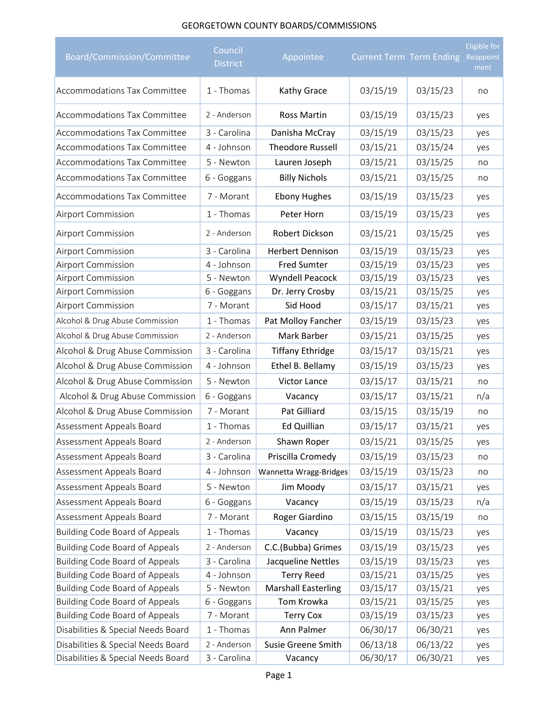## GEORGETOWN COUNTY BOARDS/COMMISSIONS

| Board/Commission/Committee            | Council<br><b>District</b> | Appointee                  | <b>Current Term Term Ending</b> |          | <b>Eligible for</b><br>Reappoint<br>ment |
|---------------------------------------|----------------------------|----------------------------|---------------------------------|----------|------------------------------------------|
| <b>Accommodations Tax Committee</b>   | 1 - Thomas                 | Kathy Grace                | 03/15/19                        | 03/15/23 | no                                       |
| <b>Accommodations Tax Committee</b>   | 2 - Anderson               | <b>Ross Martin</b>         | 03/15/19                        | 03/15/23 | yes                                      |
| <b>Accommodations Tax Committee</b>   | 3 - Carolina               | Danisha McCray             | 03/15/19                        | 03/15/23 | yes                                      |
| Accommodations Tax Committee          | 4 - Johnson                | <b>Theodore Russell</b>    | 03/15/21                        | 03/15/24 | yes                                      |
| Accommodations Tax Committee          | 5 - Newton                 | Lauren Joseph              | 03/15/21                        | 03/15/25 | no                                       |
| Accommodations Tax Committee          | 6 - Goggans                | <b>Billy Nichols</b>       | 03/15/21                        | 03/15/25 | no                                       |
| Accommodations Tax Committee          | 7 - Morant                 | <b>Ebony Hughes</b>        | 03/15/19                        | 03/15/23 | yes                                      |
| <b>Airport Commission</b>             | 1 - Thomas                 | Peter Horn                 | 03/15/19                        | 03/15/23 | yes                                      |
| <b>Airport Commission</b>             | 2 - Anderson               | Robert Dickson             | 03/15/21                        | 03/15/25 | yes                                      |
| <b>Airport Commission</b>             | 3 - Carolina               | <b>Herbert Dennison</b>    | 03/15/19                        | 03/15/23 | yes                                      |
| Airport Commission                    | 4 - Johnson                | <b>Fred Sumter</b>         | 03/15/19                        | 03/15/23 | yes                                      |
| Airport Commission                    | 5 - Newton                 | Wyndell Peacock            | 03/15/19                        | 03/15/23 | yes                                      |
| Airport Commission                    | 6 - Goggans                | Dr. Jerry Crosby           | 03/15/21                        | 03/15/25 | yes                                      |
| Airport Commission                    | 7 - Morant                 | Sid Hood                   | 03/15/17                        | 03/15/21 | yes                                      |
| Alcohol & Drug Abuse Commission       | 1 - Thomas                 | Pat Molloy Fancher         | 03/15/19                        | 03/15/23 | yes                                      |
| Alcohol & Drug Abuse Commission       | 2 - Anderson               | Mark Barber                | 03/15/21                        | 03/15/25 | yes                                      |
| Alcohol & Drug Abuse Commission       | 3 - Carolina               | <b>Tiffany Ethridge</b>    | 03/15/17                        | 03/15/21 | yes                                      |
| Alcohol & Drug Abuse Commission       | 4 - Johnson                | Ethel B. Bellamy           | 03/15/19                        | 03/15/23 | yes                                      |
| Alcohol & Drug Abuse Commission       | 5 - Newton                 | <b>Victor Lance</b>        | 03/15/17                        | 03/15/21 | no                                       |
| Alcohol & Drug Abuse Commission       | 6 - Goggans                | Vacancy                    | 03/15/17                        | 03/15/21 | n/a                                      |
| Alcohol & Drug Abuse Commission       | 7 - Morant                 | Pat Gilliard               | 03/15/15                        | 03/15/19 | no                                       |
| Assessment Appeals Board              | 1 - Thomas                 | <b>Ed Quillian</b>         | 03/15/17                        | 03/15/21 | yes                                      |
| Assessment Appeals Board              | 2 - Anderson               | Shawn Roper                | 03/15/21                        | 03/15/25 | yes                                      |
| Assessment Appeals Board              | 3 - Carolina               | Priscilla Cromedy          | 03/15/19                        | 03/15/23 | no                                       |
| Assessment Appeals Board              | 4 - Johnson                | Wannetta Wragg-Bridges     | 03/15/19                        | 03/15/23 | no                                       |
| Assessment Appeals Board              | 5 - Newton                 | Jim Moody                  | 03/15/17                        | 03/15/21 | yes                                      |
| Assessment Appeals Board              | 6 - Goggans                | Vacancy                    | 03/15/19                        | 03/15/23 | n/a                                      |
| Assessment Appeals Board              | 7 - Morant                 | Roger Giardino             | 03/15/15                        | 03/15/19 | no                                       |
| <b>Building Code Board of Appeals</b> | 1 - Thomas                 | Vacancy                    | 03/15/19                        | 03/15/23 | yes                                      |
| <b>Building Code Board of Appeals</b> | 2 - Anderson               | C.C.(Bubba) Grimes         | 03/15/19                        | 03/15/23 | yes                                      |
| <b>Building Code Board of Appeals</b> | 3 - Carolina               | Jacqueline Nettles         | 03/15/19                        | 03/15/23 | yes                                      |
| <b>Building Code Board of Appeals</b> | 4 - Johnson                | <b>Terry Reed</b>          | 03/15/21                        | 03/15/25 | yes                                      |
| <b>Building Code Board of Appeals</b> | 5 - Newton                 | <b>Marshall Easterling</b> | 03/15/17                        | 03/15/21 | yes                                      |
| <b>Building Code Board of Appeals</b> | 6 - Goggans                | Tom Krowka                 | 03/15/21                        | 03/15/25 | yes                                      |
| <b>Building Code Board of Appeals</b> | 7 - Morant                 | <b>Terry Cox</b>           | 03/15/19                        | 03/15/23 | yes                                      |
| Disabilities & Special Needs Board    | 1 - Thomas                 | Ann Palmer                 | 06/30/17                        | 06/30/21 | yes                                      |
| Disabilities & Special Needs Board    | 2 - Anderson               | Susie Greene Smith         | 06/13/18                        | 06/13/22 | yes                                      |
| Disabilities & Special Needs Board    | 3 - Carolina               | Vacancy                    | 06/30/17                        | 06/30/21 | yes                                      |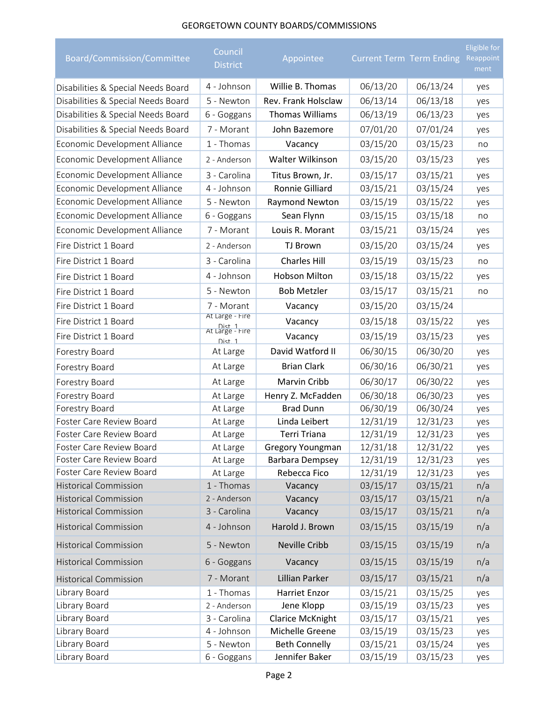## GEORGETOWN COUNTY BOARDS/COMMISSIONS

| Board/Commission/Committee                                   | Council<br><b>District</b>          | Appointee               | Current Term Term Ending |                      | <b>Eligible for</b><br>Reappoint<br>ment |
|--------------------------------------------------------------|-------------------------------------|-------------------------|--------------------------|----------------------|------------------------------------------|
| Disabilities & Special Needs Board                           | 4 - Johnson                         | Willie B. Thomas        | 06/13/20                 | 06/13/24             | yes                                      |
| Disabilities & Special Needs Board                           | 5 - Newton                          | Rev. Frank Holsclaw     | 06/13/14                 | 06/13/18             | yes                                      |
| Disabilities & Special Needs Board                           | 6 - Goggans                         | <b>Thomas Williams</b>  | 06/13/19                 | 06/13/23             | yes                                      |
| Disabilities & Special Needs Board                           | 7 - Morant                          | John Bazemore           | 07/01/20                 | 07/01/24             | yes                                      |
| Economic Development Alliance                                | 1 - Thomas                          | Vacancy                 | 03/15/20                 | 03/15/23             | no                                       |
| Economic Development Alliance                                | 2 - Anderson                        | Walter Wilkinson        | 03/15/20                 | 03/15/23             | yes                                      |
| Economic Development Alliance                                | 3 - Carolina                        | Titus Brown, Jr.        | 03/15/17                 | 03/15/21             | yes                                      |
| Economic Development Alliance                                | 4 - Johnson                         | Ronnie Gilliard         | 03/15/21                 | 03/15/24             | yes                                      |
| Economic Development Alliance                                | 5 - Newton                          | Raymond Newton          | 03/15/19                 | 03/15/22             | yes                                      |
| Economic Development Alliance                                | 6 - Goggans                         | Sean Flynn              | 03/15/15                 | 03/15/18             | no                                       |
| Economic Development Alliance                                | 7 - Morant                          | Louis R. Morant         | 03/15/21                 | 03/15/24             | yes                                      |
| Fire District 1 Board                                        | 2 - Anderson                        | <b>TJ Brown</b>         | 03/15/20                 | 03/15/24             | yes                                      |
| Fire District 1 Board                                        | 3 - Carolina                        | <b>Charles Hill</b>     | 03/15/19                 | 03/15/23             | no                                       |
| Fire District 1 Board                                        | 4 - Johnson                         | <b>Hobson Milton</b>    | 03/15/18                 | 03/15/22             | yes                                      |
| Fire District 1 Board                                        | 5 - Newton                          | <b>Bob Metzler</b>      | 03/15/17                 | 03/15/21             | no                                       |
| Fire District 1 Board                                        | 7 - Morant                          | Vacancy                 | 03/15/20                 | 03/15/24             |                                          |
| Fire District 1 Board                                        | At Large - Fire                     | Vacancy                 | 03/15/18                 | 03/15/22             | yes                                      |
| Fire District 1 Board                                        | Dist 1<br>At Large - Fire<br>Dist 1 | Vacancy                 | 03/15/19                 | 03/15/23             | yes                                      |
| Forestry Board                                               | At Large                            | David Watford II        | 06/30/15                 | 06/30/20             | yes                                      |
| Forestry Board                                               | At Large                            | <b>Brian Clark</b>      | 06/30/16                 | 06/30/21             | yes                                      |
| Forestry Board                                               | At Large                            | Marvin Cribb            | 06/30/17                 | 06/30/22             | yes                                      |
| Forestry Board                                               | At Large                            | Henry Z. McFadden       | 06/30/18                 | 06/30/23             | yes                                      |
| Forestry Board                                               | At Large                            | <b>Brad Dunn</b>        | 06/30/19                 | 06/30/24             | yes                                      |
| Foster Care Review Board                                     | At Large                            | Linda Leibert           | 12/31/19                 | 12/31/23             | yes                                      |
| Foster Care Review Board                                     | At Large                            | Terri Triana            | 12/31/19                 | 12/31/23             | yes                                      |
| Foster Care Review Board                                     | At Large                            | Gregory Youngman        | 12/31/18                 | 12/31/22             | yes                                      |
| Foster Care Review Board                                     | At Large                            | Barbara Dempsey         | 12/31/19                 | 12/31/23             | yes                                      |
| Foster Care Review Board                                     | At Large                            | Rebecca Fico            | 12/31/19                 | 12/31/23             | yes                                      |
| <b>Historical Commission</b><br><b>Historical Commission</b> | 1 - Thomas<br>2 - Anderson          | Vacancy                 | 03/15/17                 | 03/15/21             | n/a                                      |
| <b>Historical Commission</b>                                 | 3 - Carolina                        | Vacancy<br>Vacancy      | 03/15/17<br>03/15/17     | 03/15/21<br>03/15/21 | n/a<br>n/a                               |
| <b>Historical Commission</b>                                 | 4 - Johnson                         | Harold J. Brown         | 03/15/15                 | 03/15/19             | n/a                                      |
| <b>Historical Commission</b>                                 | 5 - Newton                          | Neville Cribb           | 03/15/15                 | 03/15/19             | n/a                                      |
| <b>Historical Commission</b>                                 | 6 - Goggans                         | Vacancy                 | 03/15/15                 | 03/15/19             | n/a                                      |
| <b>Historical Commission</b>                                 | 7 - Morant                          | Lillian Parker          | 03/15/17                 | 03/15/21             | n/a                                      |
| Library Board                                                | 1 - Thomas                          | Harriet Enzor           | 03/15/21                 | 03/15/25             | yes                                      |
| Library Board                                                | 2 - Anderson                        | Jene Klopp              | 03/15/19                 | 03/15/23             | yes                                      |
| Library Board                                                | 3 - Carolina                        | <b>Clarice McKnight</b> | 03/15/17                 | 03/15/21             | yes                                      |
| Library Board                                                | 4 - Johnson                         | Michelle Greene         | 03/15/19                 | 03/15/23             | yes                                      |
| Library Board                                                | 5 - Newton                          | <b>Beth Connelly</b>    | 03/15/21                 | 03/15/24             | yes                                      |
| Library Board                                                | 6 - Goggans                         | Jennifer Baker          | 03/15/19                 | 03/15/23             | yes                                      |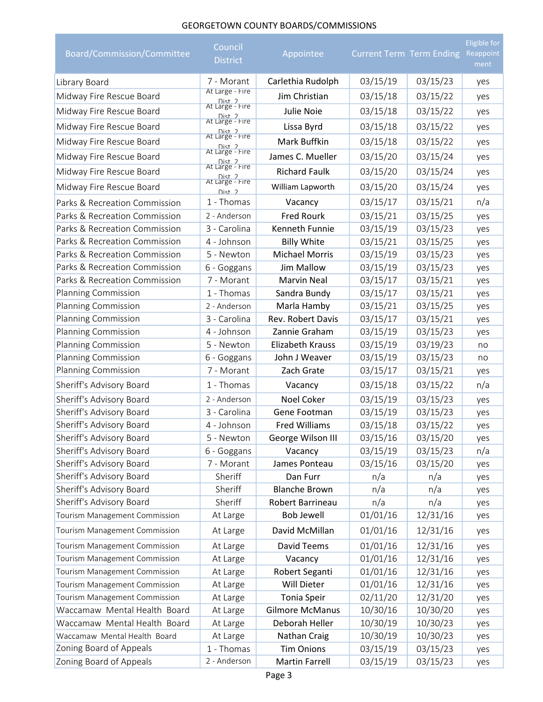## GEORGETOWN COUNTY BOARDS/COMMISSIONS

| Board/Commission/Committee    | Council<br><b>District</b>                     | Appointee               | <b>Current Term Term Ending</b> |          | <b>Eligible for</b><br>Reappoint<br>ment |
|-------------------------------|------------------------------------------------|-------------------------|---------------------------------|----------|------------------------------------------|
| Library Board                 | 7 - Morant                                     | Carlethia Rudolph       | 03/15/19                        | 03/15/23 | yes                                      |
| Midway Fire Rescue Board      | At Large - Fire                                | Jim Christian           | 03/15/18                        | 03/15/22 | yes                                      |
| Midway Fire Rescue Board      | Dist. 2<br>At Large - Fire                     | Julie Noie              | 03/15/18                        | 03/15/22 | yes                                      |
| Midway Fire Rescue Board      | Dist 2<br>At Large - Fire                      | Lissa Byrd              | 03/15/18                        | 03/15/22 | yes                                      |
| Midway Fire Rescue Board      | Dist 2<br>At Large - Fire                      | Mark Buffkin            | 03/15/18                        | 03/15/22 | yes                                      |
| Midway Fire Rescue Board      | Dist 2<br>At Large - Fire                      | James C. Mueller        | 03/15/20                        | 03/15/24 | yes                                      |
| Midway Fire Rescue Board      | Dist 2<br>At Large - Fire                      | <b>Richard Faulk</b>    | 03/15/20                        | 03/15/24 | yes                                      |
| Midway Fire Rescue Board      | Dist 2<br>At Large - Fire<br>Dist <sub>2</sub> | William Lapworth        | 03/15/20                        | 03/15/24 | yes                                      |
| Parks & Recreation Commission | 1 - Thomas                                     | Vacancy                 | 03/15/17                        | 03/15/21 | n/a                                      |
| Parks & Recreation Commission | 2 - Anderson                                   | <b>Fred Rourk</b>       | 03/15/21                        | 03/15/25 | yes                                      |
| Parks & Recreation Commission | 3 - Carolina                                   | Kenneth Funnie          | 03/15/19                        | 03/15/23 | yes                                      |
| Parks & Recreation Commission | 4 - Johnson                                    | <b>Billy White</b>      | 03/15/21                        | 03/15/25 | yes                                      |
| Parks & Recreation Commission | 5 - Newton                                     | <b>Michael Morris</b>   | 03/15/19                        | 03/15/23 | yes                                      |
| Parks & Recreation Commission | 6 - Goggans                                    | Jim Mallow              | 03/15/19                        | 03/15/23 | yes                                      |
| Parks & Recreation Commission | 7 - Morant                                     | <b>Marvin Neal</b>      | 03/15/17                        | 03/15/21 | yes                                      |
| Planning Commission           | 1 - Thomas                                     | Sandra Bundy            | 03/15/17                        | 03/15/21 | yes                                      |
| Planning Commission           | 2 - Anderson                                   | Marla Hamby             | 03/15/21                        | 03/15/25 | yes                                      |
| Planning Commission           | 3 - Carolina                                   | Rev. Robert Davis       | 03/15/17                        | 03/15/21 | yes                                      |
| Planning Commission           | 4 - Johnson                                    | Zannie Graham           | 03/15/19                        | 03/15/23 | yes                                      |
| Planning Commission           | 5 - Newton                                     | <b>Elizabeth Krauss</b> | 03/15/19                        | 03/19/23 | no                                       |
| Planning Commission           | 6 - Goggans                                    | John J Weaver           | 03/15/19                        | 03/15/23 | no                                       |
| Planning Commission           | 7 - Morant                                     | Zach Grate              | 03/15/17                        | 03/15/21 | yes                                      |
| Sheriff's Advisory Board      | 1 - Thomas                                     | Vacancy                 | 03/15/18                        | 03/15/22 | n/a                                      |
| Sheriff's Advisory Board      | 2 - Anderson                                   | Noel Coker              | 03/15/19                        | 03/15/23 | yes                                      |
| Sheriff's Advisory Board      | 3 - Carolina                                   | Gene Footman            | 03/15/19                        | 03/15/23 | yes                                      |
| Sheriff's Advisory Board      | 4 - Johnson                                    | <b>Fred Williams</b>    | 03/15/18                        | 03/15/22 | yes                                      |
| Sheriff's Advisory Board      | 5 - Newton                                     | George Wilson III       | 03/15/16                        | 03/15/20 | yes                                      |
| Sheriff's Advisory Board      | 6 - Goggans                                    | Vacancy                 | 03/15/19                        | 03/15/23 | n/a                                      |
| Sheriff's Advisory Board      | 7 - Morant                                     | James Ponteau           | 03/15/16                        | 03/15/20 | yes                                      |
| Sheriff's Advisory Board      | Sheriff                                        | Dan Furr                | n/a                             | n/a      | yes                                      |
| Sheriff's Advisory Board      | Sheriff                                        | <b>Blanche Brown</b>    | n/a                             | n/a      | yes                                      |
| Sheriff's Advisory Board      | Sheriff                                        | Robert Barrineau        | n/a                             | n/a      | yes                                      |
| Tourism Management Commission | At Large                                       | <b>Bob Jewell</b>       | 01/01/16                        | 12/31/16 | yes                                      |
| Tourism Management Commission | At Large                                       | David McMillan          | 01/01/16                        | 12/31/16 | yes                                      |
| Tourism Management Commission | At Large                                       | David Teems             | 01/01/16                        | 12/31/16 | yes                                      |
| Tourism Management Commission | At Large                                       | Vacancy                 | 01/01/16                        | 12/31/16 | yes                                      |
| Tourism Management Commission | At Large                                       | Robert Seganti          | 01/01/16                        | 12/31/16 | yes                                      |
| Tourism Management Commission | At Large                                       | Will Dieter             | 01/01/16                        | 12/31/16 | yes                                      |
| Tourism Management Commission | At Large                                       | Tonia Speir             | 02/11/20                        | 12/31/20 | yes                                      |
| Waccamaw Mental Health Board  | At Large                                       | <b>Gilmore McManus</b>  | 10/30/16                        | 10/30/20 | yes                                      |
| Waccamaw Mental Health Board  | At Large                                       | Deborah Heller          | 10/30/19                        | 10/30/23 | yes                                      |
| Waccamaw Mental Health Board  | At Large                                       | Nathan Craig            | 10/30/19                        | 10/30/23 | yes                                      |
| Zoning Board of Appeals       | 1 - Thomas                                     | <b>Tim Onions</b>       | 03/15/19                        | 03/15/23 | yes                                      |
| Zoning Board of Appeals       | 2 - Anderson                                   | <b>Martin Farrell</b>   | 03/15/19                        | 03/15/23 | yes                                      |